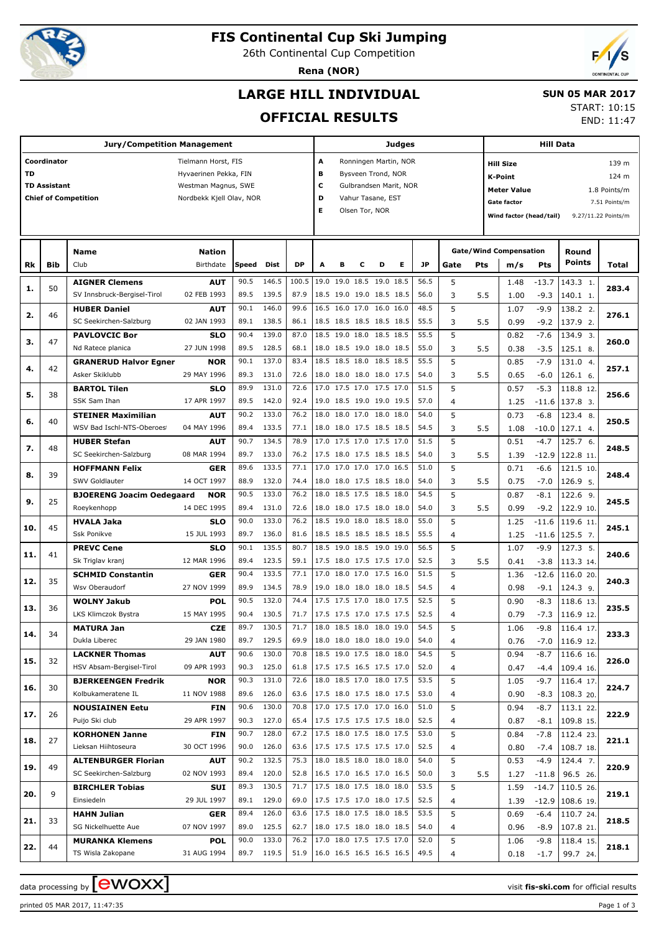

# **FIS Continental Cup Ski Jumping**

26th Continental Cup Competition

**Rena (NOR)**



## **LARGE HILL INDIVIDUAL**

### **SUN 05 MAR 2017**

**OFFICIAL RESULTS**

| START: 10:15 |                         |
|--------------|-------------------------|
|              | $FND \cdot 11 \cdot 47$ |

END: 11:47

|           | <b>Jury/Competition Management</b> |                                                      |                            |              |                |              |                             |   |                |                                                      | Judges                |              |                | <b>Hill Data</b> |                                                           |                  |                        |                     |  |
|-----------|------------------------------------|------------------------------------------------------|----------------------------|--------------|----------------|--------------|-----------------------------|---|----------------|------------------------------------------------------|-----------------------|--------------|----------------|------------------|-----------------------------------------------------------|------------------|------------------------|---------------------|--|
|           | Coordinator                        |                                                      | Tielmann Horst, FIS        |              |                |              | A                           |   |                |                                                      | Ronningen Martin, NOR |              |                |                  | <b>Hill Size</b><br>139 m                                 |                  |                        |                     |  |
| <b>TD</b> |                                    |                                                      | Hyvaerinen Pekka, FIN      |              |                |              | в                           |   |                | Bysveen Trond, NOR                                   |                       |              |                |                  | <b>K-Point</b><br>124 m                                   |                  |                        |                     |  |
|           | <b>TD Assistant</b>                |                                                      | Westman Magnus, SWE        |              |                |              | c<br>Gulbrandsen Marit, NOR |   |                |                                                      |                       |              |                |                  | <b>Meter Value</b><br>1.8 Points/m                        |                  |                        |                     |  |
|           |                                    | <b>Chief of Competition</b>                          | Nordbekk Kjell Olav, NOR   |              |                |              | D<br>Vahur Tasane, EST      |   |                |                                                      |                       |              |                |                  | <b>Gate factor</b><br>7.51 Points/m                       |                  |                        |                     |  |
|           |                                    |                                                      |                            |              |                |              | Е                           |   | Olsen Tor, NOR |                                                      |                       |              |                |                  | Wind factor (head/tail)                                   |                  |                        | 9.27/11.22 Points/m |  |
|           |                                    |                                                      |                            |              |                |              |                             |   |                |                                                      |                       |              |                |                  |                                                           |                  |                        |                     |  |
|           |                                    |                                                      |                            |              |                |              |                             |   |                |                                                      |                       |              |                |                  |                                                           |                  |                        |                     |  |
| Rk        | <b>Bib</b>                         | Name<br>Club                                         | <b>Nation</b><br>Birthdate | Speed        | Dist           | <b>DP</b>    | А                           | в | с              | D                                                    | Е                     | <b>JP</b>    | Gate           |                  | <b>Gate/Wind Compensation</b><br>Pts<br>m/s<br><b>Pts</b> |                  | Round<br><b>Points</b> | Total               |  |
|           |                                    |                                                      |                            | 90.5         | 146.5          | 100.5        |                             |   |                | 19.0 19.0 18.5 19.0 18.5                             |                       | 56.5         | 5              |                  |                                                           | $-13.7$          |                        |                     |  |
| 1.        | 50                                 | <b>AIGNER Clemens</b><br>SV Innsbruck-Bergisel-Tirol | AUT<br>02 FEB 1993         | 89.5         | 139.5          | 87.9         |                             |   |                | 18.5 19.0 19.0 18.5 18.5                             |                       | 56.0         | 3              | 5.5              | 1.48<br>1.00                                              | $-9.3$           | 143.3 1.<br>140.1 1.   | 283.4               |  |
|           |                                    | <b>HUBER Daniel</b>                                  | <b>AUT</b>                 | 90.1         | 146.0          | 99.6         |                             |   |                | 16.5 16.0 17.0 16.0 16.0                             |                       | 48.5         | 5              |                  | 1.07                                                      | $-9.9$           | 138.2 2.               |                     |  |
| 2.        | 46                                 | SC Seekirchen-Salzburg                               | 02 JAN 1993                | 89.1         | 138.5          | 86.1         |                             |   |                | 18.5 18.5 18.5 18.5 18.5                             |                       | 55.5         | 3              | 5.5              | 0.99                                                      | $-9.2$           | 137.9 2.               | 276.1               |  |
|           |                                    | <b>PAVLOVCIC Bor</b>                                 | <b>SLO</b>                 | 90.4         | 139.0          | 87.0         |                             |   |                | 18.5 19.0 18.0 18.5 18.5                             |                       | 55.5         | 5              |                  | 0.82                                                      | $-7.6$           | 134.9 3.               |                     |  |
| з.        | 47                                 | Nd Ratece planica                                    | 27 JUN 1998                | 89.5         | 128.5          | 68.1         |                             |   |                | 18.0 18.5 19.0 18.0 18.5                             |                       | 55.0         | 3              | 5.5              | 0.38                                                      | $-3.5$           | 125.1 8.               | 260.0               |  |
|           |                                    | <b>GRANERUD Halvor Egner</b>                         | <b>NOR</b>                 | 90.1         | 137.0          | 83.4         |                             |   |                | 18.5 18.5 18.0 18.5 18.5                             |                       | 55.5         | 5              |                  | 0.85                                                      | $-7.9$           | 131.0 4.               |                     |  |
| 4.        | 42                                 | Asker Skiklubb                                       | 29 MAY 1996                | 89.3         | 131.0          | 72.6         |                             |   |                | 18.0 18.0 18.0 18.0 17.5                             |                       | 54.0         | 3              | 5.5              | 0.65                                                      | $-6.0$           | 126.1 6.               | 257.1               |  |
| 5.        | 38                                 | <b>BARTOL Tilen</b>                                  | <b>SLO</b>                 | 89.9         | 131.0          | 72.6         |                             |   |                | 17.0 17.5 17.0 17.5 17.0                             |                       | 51.5         | 5              |                  | 0.57                                                      | $-5.3$           | 118.8 12.              | 256.6               |  |
|           |                                    | SSK Sam Ihan                                         | 17 APR 1997                | 89.5         | 142.0          | 92.4         |                             |   |                | 19.0 18.5 19.0 19.0 19.5                             |                       | 57.0         | $\overline{4}$ |                  | 1.25                                                      | $-11.6$          | 137.8 3.               |                     |  |
| 6.        | 40                                 | <b>STEINER Maximilian</b>                            | <b>AUT</b>                 | 90.2         | 133.0          | 76.2         |                             |   |                | 18.0 18.0 17.0 18.0 18.0                             |                       | 54.0         | 5              |                  | 0.73                                                      | $-6.8$           | 123.4 8.               | 250.5               |  |
|           |                                    | WSV Bad Ischl-NTS-Oberoes                            | 04 MAY 1996                | 89.4         | 133.5          | 77.1         |                             |   |                | 18.0 18.0 17.5 18.5 18.5                             |                       | 54.5         | 3              | 5.5              | 1.08                                                      | $-10.0$          | 127.1 4.               |                     |  |
| 7.        | 48                                 | <b>HUBER Stefan</b>                                  | <b>AUT</b>                 | 90.7         | 134.5          | 78.9         |                             |   |                | 17.0 17.5 17.0 17.5 17.0                             |                       | 51.5         | 5              |                  | 0.51                                                      | $-4.7$           | 125.7 6.               | 248.5               |  |
|           |                                    | SC Seekirchen-Salzburg                               | 08 MAR 1994                | 89.7         | 133.0          | 76.2         |                             |   |                | 17.5 18.0 17.5 18.5 18.5                             |                       | 54.0         | 3              | 5.5              | 1.39                                                      | $-12.9$          | 122.8 11               |                     |  |
| 8.        | 39                                 | <b>HOFFMANN Felix</b>                                | <b>GER</b>                 | 89.6         | 133.5          | 77.1         |                             |   |                | 17.0 17.0 17.0 17.0 16.5                             |                       | 51.0         | 5              |                  | 0.71                                                      | $-6.6$           | 121.5 10.              | 248.4               |  |
|           |                                    | SWV Goldlauter                                       | 14 OCT 1997                | 88.9         | 132.0          | 74.4         |                             |   |                | 18.0 18.0 17.5 18.5 18.0                             |                       | 54.0         | 3              | 5.5              | 0.75                                                      | $-7.0$           | 126.9 5.               |                     |  |
| 9.        | 25                                 | <b>BJOERENG Joacim Oedegaard</b>                     | <b>NOR</b>                 | 90.5         | 133.0          | 76.2         |                             |   |                | 18.0 18.5 17.5 18.5 18.0                             |                       | 54.5         | 5              |                  | 0.87                                                      | $-8.1$           | 122.6 9.               | 245.5               |  |
|           |                                    | Roeykenhopp                                          | 14 DEC 1995                | 89.4         | 131.0          | 72.6         |                             |   |                | 18.0 18.0 17.5 18.0 18.0                             |                       | 54.0         | 3              | 5.5              | 0.99                                                      | $-9.2$           | 122.9 10.              |                     |  |
| 10.       | 45                                 | <b>HVALA Jaka</b>                                    | <b>SLO</b>                 | 90.0         | 133.0          | 76.2         |                             |   |                | 18.5 19.0 18.0 18.5 18.0                             |                       | 55.0         | 5              |                  | 1.25                                                      | $-11.6$          | 119.6 11.              | 245.1               |  |
|           |                                    | Ssk Ponikve                                          | 15 JUL 1993                | 89.7         | 136.0          | 81.6         |                             |   |                | 18.5 18.5 18.5 18.5 18.5                             |                       | 55.5         | $\overline{4}$ |                  | 1.25                                                      | $-11.6$          | $125.5$ 7.             |                     |  |
| 11.       | 41                                 | <b>PREVC Cene</b><br>Sk Triglav kranj                | <b>SLO</b><br>12 MAR 1996  | 90.1<br>89.4 | 135.5<br>123.5 | 80.7<br>59.1 |                             |   |                | 18.5 19.0 18.5 19.0 19.0<br>17.5 18.0 17.5 17.5 17.0 |                       | 56.5<br>52.5 | 5<br>3         | 5.5              | 1.07<br>0.41                                              | $-9.9$<br>$-3.8$ | 127.3 5.<br>113.3 14.  | 240.6               |  |
|           |                                    | <b>SCHMID Constantin</b>                             | <b>GER</b>                 | 90.4         | 133.5          | 77.1         |                             |   |                | 17.0 18.0 17.0 17.5 16.0                             |                       | 51.5         | 5              |                  | 1.36                                                      | $-12.6$          | 116.0 20.              |                     |  |
| 12.       | 35                                 | Wsv Oberaudorf                                       | 27 NOV 1999                | 89.9         | 134.5          | 78.9         |                             |   |                | 19.0 18.0 18.0 18.0 18.5                             |                       | 54.5         | 4              |                  | 0.98                                                      | $-9.1$           | 124.3 9.               | 240.3               |  |
|           |                                    | <b>WOLNY Jakub</b>                                   | <b>POL</b>                 | 90.5         | 132.0          | 74.4         |                             |   |                | 17.5 17.5 17.0 18.0 17.5                             |                       | 52.5         | 5              |                  | 0.90                                                      | $-8.3$           | 118.6 13.              |                     |  |
| 13.       | 36                                 | LKS Klimczok Bystra                                  | 15 MAY 1995                | 90.4         | 130.5          | 71.7         |                             |   |                | 17.5 17.5 17.0 17.5 17.5                             |                       | 52.5         | $\overline{4}$ |                  | 0.79                                                      | $-7.3$           | 116.9 12.              | 235.5               |  |
|           |                                    | <b>MATURA Jan</b>                                    | <b>CZE</b>                 | 89.7         | 130.5          | 71.7         | $18.0$ 18.5 18.0 18.0 19.0  |   |                |                                                      |                       | 54.5         | 5              |                  | 1.06                                                      | $-9.8$           | $116.4$ 17.            |                     |  |
| 14.       | 34                                 | Dukla Liberec                                        | 29 JAN 1980                | 89.7         | 129.5          | 69.9         |                             |   |                | 18.0 18.0 18.0 18.0 19.0                             |                       | 54.0         | 4              |                  | 0.76                                                      | $-7.0$           | 116.9 12.              | 233.3               |  |
|           |                                    | <b>LACKNER Thomas</b>                                | <b>AUT</b>                 | 90.6         | 130.0          | 70.8         |                             |   |                | 18.5 19.0 17.5 18.0 18.0                             |                       | 54.5         | 5              |                  | 0.94                                                      | $-8.7$           | 116.6 16.              |                     |  |
| 15.       | 32                                 | HSV Absam-Bergisel-Tirol                             | 09 APR 1993                |              | 90.3 125.0     | 61.8         | 17.5 17.5 16.5 17.5 17.0    |   |                |                                                      |                       | 52.0         | 4              |                  | 0.47                                                      | $-4.4$           | 109.4 16.              | 226.0               |  |
|           |                                    | <b>BJERKEENGEN Fredrik</b>                           | <b>NOR</b>                 | 90.3         | 131.0          | 72.6         |                             |   |                | 18.0 18.5 17.0 18.0 17.5                             |                       | 53.5         | 5              |                  | 1.05                                                      | $-9.7$           | 116.4 17.              |                     |  |
| 16.       | 30                                 | Kolbukameratene IL                                   | 11 NOV 1988                | 89.6         | 126.0          | 63.6         | 17.5 18.0 17.5 18.0 17.5    |   |                |                                                      |                       | 53.0         | 4              |                  | 0.90                                                      | -8.3             | 108.3 20.              | 224.7               |  |
|           |                                    | <b>NOUSIAINEN Eetu</b>                               | FIN                        | 90.6         | 130.0          | 70.8         |                             |   |                | 17.0 17.5 17.0 17.0 16.0                             |                       | 51.0         | 5              |                  | 0.94                                                      | $-8.7$           | 113.1 22.              |                     |  |
| 17.       | 26                                 | Puijo Ski club                                       | 29 APR 1997                |              | 90.3 127.0     | 65.4         | 17.5 17.5 17.5 17.5 18.0    |   |                |                                                      |                       | 52.5         | 4              |                  | 0.87                                                      | $-8.1$           | 109.8 15.              | 222.9               |  |
| 18.       | 27                                 | <b>KORHONEN Janne</b>                                | FIN                        | 90.7         | 128.0          | 67.2         | 17.5 18.0 17.5 18.0 17.5    |   |                |                                                      |                       | 53.0         | 5              |                  | 0.84                                                      | $-7.8$           | 112.4 23.              | 221.1               |  |
|           |                                    | Lieksan Hiihtoseura                                  | 30 OCT 1996                | 90.0         | 126.0          | 63.6         | 17.5 17.5 17.5 17.5 17.0    |   |                |                                                      |                       | 52.5         | 4              |                  | 0.80                                                      | $-7.4$           | 108.7 18.              |                     |  |
| 19.       | 49                                 | <b>ALTENBURGER Florian</b>                           | <b>AUT</b>                 | 90.2         | 132.5          | 75.3         |                             |   |                | 18.0 18.5 18.0 18.0 18.0                             |                       | 54.0         | 5              |                  | 0.53                                                      | $-4.9$           | 124.4 7.               | 220.9               |  |
|           |                                    | SC Seekirchen-Salzburg                               | 02 NOV 1993                | 89.4         | 120.0          | 52.8         | 16.5 17.0 16.5 17.0 16.5    |   |                |                                                      |                       | 50.0         | 3              | 5.5              | 1.27                                                      | $-11.8$          | 96.5 26.               |                     |  |
| 20.       | 9                                  | <b>BIRCHLER Tobias</b>                               | SUI                        | 89.3         | 130.5          | 71.7         |                             |   |                | 17.5 18.0 17.5 18.0 18.0                             |                       | 53.5         | 5              |                  | 1.59                                                      | $-14.7$          | 110.5 26.              | 219.1               |  |
|           |                                    | Einsiedeln                                           | 29 JUL 1997                |              | 89.1 129.0     | 69.0         | 17.5 17.5 17.0 18.0 17.5    |   |                |                                                      |                       | 52.5         | 4              |                  | 1.39                                                      |                  | $-12.9$   108.6 19.    |                     |  |
| 21.       | 33                                 | <b>HAHN Julian</b>                                   | GER                        | 89.4         | 126.0          | 63.6         |                             |   |                | 17.5 18.0 17.5 18.0 18.5                             |                       | 53.5         | 5              |                  | 0.69                                                      | -6.4             | 110.7 24.              | 218.5               |  |
|           |                                    | SG Nickelhuette Aue                                  | 07 NOV 1997                | 89.0         | 125.5          | 62.7         |                             |   |                | 18.0 17.5 18.0 18.0 18.5                             |                       | 54.0         | 4              |                  | 0.96                                                      | -8.9             | 107.8 21.              |                     |  |
| 22.       | 44                                 | <b>MURANKA Klemens</b>                               | <b>POL</b>                 | 90.0         | 133.0          | 76.2         | 17.0 18.0 17.5 17.5 17.0    |   |                |                                                      |                       | 52.0         | 5              |                  | 1.06                                                      | -9.8             | 118.4 15.              | 218.1               |  |
|           |                                    | TS Wisla Zakopane                                    | 31 AUG 1994                |              | 89.7 119.5     | 51.9         | $16.0$ 16.5 16.5 16.5 16.5  |   |                |                                                      |                       | 49.5         | 4              |                  | 0.18                                                      | $-1.7$           | 99.7 24.               |                     |  |

data processing by **CWOXX** and  $\overline{C}$  and  $\overline{C}$  and  $\overline{C}$  and  $\overline{C}$  and  $\overline{C}$  and  $\overline{C}$  and  $\overline{C}$  and  $\overline{C}$  and  $\overline{C}$  and  $\overline{C}$  and  $\overline{C}$  and  $\overline{C}$  and  $\overline{C}$  and  $\overline{C}$  and  $\overline{C}$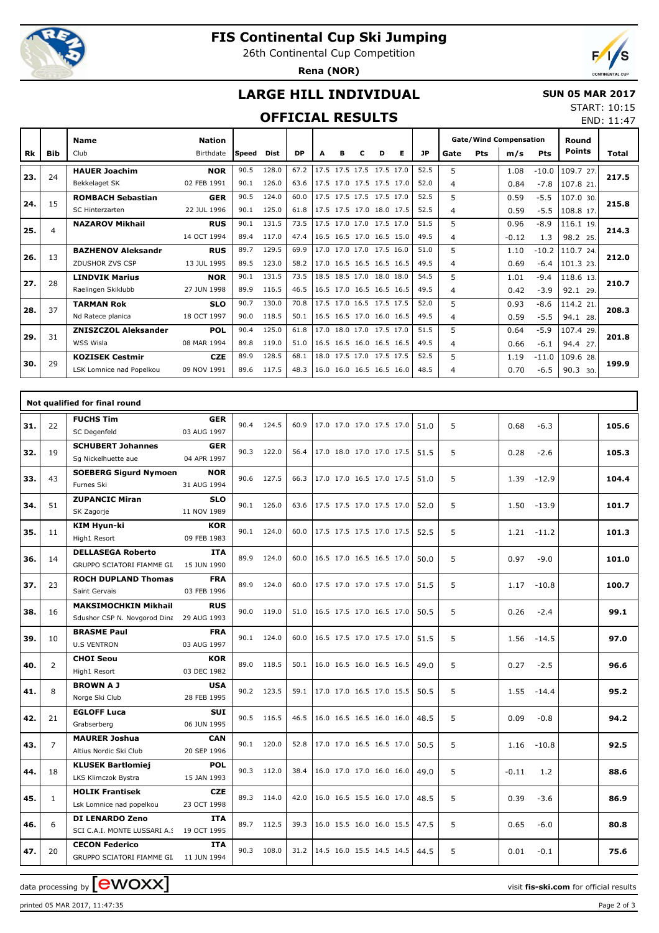

**Name**

# **FIS Continental Cup Ski Jumping**

26th Continental Cup Competition

**Rena (NOR)**



# **LARGE HILL INDIVIDUAL**

#### **SUN 05 MAR 2017**

### **OFFICIAL RESULTS**

**Nation**

|      |     |                               |       |        | START: 10:15<br>FND: 11:47 |
|------|-----|-------------------------------|-------|--------|----------------------------|
|      |     | <b>Gate/Wind Compensation</b> | Round |        |                            |
| Gate | Pts | m/s                           | Pts   | Points | <b>Total</b>               |

| Rk  | <b>Bib</b>     | Club                        | Birthdate   | Speed | Dist  | <b>DP</b> | A                        | в | с | D | Е | <b>JP</b> | Gate           | Pts | m/s     | <b>Pts</b> | <b>Points</b> | Total |
|-----|----------------|-----------------------------|-------------|-------|-------|-----------|--------------------------|---|---|---|---|-----------|----------------|-----|---------|------------|---------------|-------|
| 23. | 24             | <b>HAUER Joachim</b>        | <b>NOR</b>  | 90.5  | 128.0 | 67.2      | 17.5 17.5 17.5 17.5 17.0 |   |   |   |   | 52.5      | 5              |     | 1.08    | $-10.0$    | 109.7 27.     |       |
|     |                | Bekkelaget SK               | 02 FEB 1991 | 90.1  | 126.0 | 63.6      | 17.5 17.0 17.5 17.5 17.0 |   |   |   |   | 52.0      | 4              |     | 0.84    | $-7.8$     | 107.8 21.     | 217.5 |
| 24. | 15             | <b>ROMBACH Sebastian</b>    | <b>GER</b>  | 90.5  | 124.0 | 60.0      | 17.5 17.5 17.5 17.5 17.0 |   |   |   |   | 52.5      | 5              |     | 0.59    | $-5.5$     | 107.0 30.     | 215.8 |
|     |                | <b>SC Hinterzarten</b>      | 22 JUL 1996 | 90.1  | 125.0 | 61.8      | 17.5 17.5 17.0 18.0 17.5 |   |   |   |   | 52.5      | 4              |     | 0.59    | $-5.5$     | 108.8 17.     |       |
| 25. | $\overline{4}$ | <b>NAZAROV Mikhail</b>      | <b>RUS</b>  | 90.1  | 131.5 | 73.5      | 17.5 17.0 17.0 17.5 17.0 |   |   |   |   | 51.5      | 5              |     | 0.96    | $-8.9$     | 116.1 19.     | 214.3 |
|     |                |                             | 14 OCT 1994 | 89.4  | 117.0 | 47.4      | 16.5 16.5 17.0 16.5 15.0 |   |   |   |   | 49.5      | 4              |     | $-0.12$ | 1.3        | 98.2 25.      |       |
| 26. | 13             | <b>BAZHENOV Aleksandr</b>   | <b>RUS</b>  | 89.7  | 129.5 | 69.9      | 17.0 17.0 17.0 17.5 16.0 |   |   |   |   | 51.0      | 5              |     | 1.10    | $-10.2$    | 110.7 24.     | 212.0 |
|     |                | ZDUSHOR ZVS CSP             | 13 JUL 1995 | 89.5  | 123.0 | 58.2      | 17.0 16.5 16.5 16.5 16.5 |   |   |   |   | 49.5      | $\overline{4}$ |     | 0.69    | $-6.4$     | 101.323       |       |
| 27. | 28             | <b>LINDVIK Marius</b>       | <b>NOR</b>  | 90.1  | 131.5 | 73.5      | 18.5 18.5 17.0 18.0 18.0 |   |   |   |   | 54.5      | 5              |     | 1.01    | $-9.4$     | 118.6 13.     | 210.7 |
|     |                | Raelingen Skiklubb          | 27 JUN 1998 | 89.9  | 116.5 | 46.5      | 16.5 17.0 16.5 16.5 16.5 |   |   |   |   | 49.5      | 4              |     | 0.42    | $-3.9$     | 92.1 29.      |       |
| 28. | 37             | <b>TARMAN Rok</b>           | <b>SLO</b>  | 90.7  | 130.0 | 70.8      | 17.5 17.0 16.5 17.5 17.5 |   |   |   |   | 52.0      | 5              |     | 0.93    | $-8.6$     | 114.2 21.     | 208.3 |
|     |                | Nd Ratece planica           | 18 OCT 1997 | 90.0  | 118.5 | 50.1      | 16.5 16.5 17.0 16.0 16.5 |   |   |   |   | 49.5      | 4              |     | 0.59    | $-5.5$     | 94.1 28.      |       |
| 29. | 31             | <b>ZNISZCZOL Aleksander</b> | <b>POL</b>  | 90.4  | 125.0 | 61.8      | 17.0 18.0 17.0 17.5 17.0 |   |   |   |   | 51.5      | 5              |     | 0.64    | $-5.9$     | 107.4 29.     | 201.8 |
|     |                | WSS Wisla                   | 08 MAR 1994 | 89.8  | 119.0 | 51.0      | 16.5 16.5 16.0 16.5 16.5 |   |   |   |   | 49.5      | 4              |     | 0.66    | $-6.1$     | 94.4 27.      |       |
| 30. | 29             | <b>KOZISEK Cestmir</b>      | <b>CZE</b>  | 89.9  | 128.5 | 68.1      | 18.0 17.5 17.0 17.5 17.5 |   |   |   |   | 52.5      | 5              |     | 1.19    | $-11.0$    | 109.6 28.     | 199.9 |
|     |                | LSK Lomnice nad Popelkou    | 09 NOV 1991 | 89.6  | 117.5 | 48.3      | 16.0 16.0 16.5 16.5 16.0 |   |   |   |   | 48.5      | 4              |     | 0.70    | $-6.5$     | 90.3<br>30.   |       |

|     | Not qualified for final round |                                                                    |                           |      |            |      |                            |  |  |      |   |                 |  |       |
|-----|-------------------------------|--------------------------------------------------------------------|---------------------------|------|------------|------|----------------------------|--|--|------|---|-----------------|--|-------|
| 31. | 22                            | <b>FUCHS Tim</b><br>SC Degenfeld                                   | <b>GER</b><br>03 AUG 1997 | 90.4 | 124.5      | 60.9 | 17.0 17.0 17.0 17.5 17.0   |  |  | 51.0 | 5 | 0.68<br>$-6.3$  |  | 105.6 |
| 32. | 19                            | <b>SCHUBERT Johannes</b><br>Sg Nickelhuette aue                    | <b>GER</b><br>04 APR 1997 |      | 90.3 122.0 | 56.4 | 17.0 18.0 17.0 17.0 17.5   |  |  | 51.5 | 5 | 0.28<br>$-2.6$  |  | 105.3 |
| 33. | 43                            | <b>SOEBERG Sigurd Nymoen</b><br>Furnes Ski                         | <b>NOR</b><br>31 AUG 1994 | 90.6 | 127.5      | 66.3 | 17.0 17.0 16.5 17.0 17.5   |  |  | 51.0 | 5 | 1.39<br>$-12.9$ |  | 104.4 |
| 34. | 51                            | <b>ZUPANCIC Miran</b><br>SK Zagorje                                | <b>SLO</b><br>11 NOV 1989 |      | 90.1 126.0 | 63.6 | 17.5 17.5 17.0 17.5 17.0   |  |  | 52.0 | 5 | 1.50<br>$-13.9$ |  | 101.7 |
| 35. | 11                            | KIM Hyun-ki<br>High1 Resort                                        | <b>KOR</b><br>09 FEB 1983 |      | 90.1 124.0 | 60.0 | 17.5 17.5 17.5 17.0 17.5   |  |  | 52.5 | 5 | 1.21<br>$-11.2$ |  | 101.3 |
| 36. | 14                            | <b>DELLASEGA Roberto</b><br>GRUPPO SCIATORI FIAMME GL              | <b>ITA</b><br>15 JUN 1990 |      | 89.9 124.0 | 60.0 | 16.5 17.0 16.5 16.5 17.0   |  |  | 50.0 | 5 | 0.97<br>$-9.0$  |  | 101.0 |
| 37. | 23                            | <b>ROCH DUPLAND Thomas</b><br>Saint Gervais                        | <b>FRA</b><br>03 FEB 1996 | 89.9 | 124.0      | 60.0 | 17.5 17.0 17.0 17.5 17.0   |  |  | 51.5 | 5 | 1.17<br>$-10.8$ |  | 100.7 |
| 38. | 16                            | <b>MAKSIMOCHKIN Mikhail</b><br>Sdushor CSP N. Novgorod Dina        | <b>RUS</b><br>29 AUG 1993 | 90.0 | 119.0      | 51.0 | 16.5 17.5 17.0 16.5 17.0   |  |  | 50.5 | 5 | 0.26<br>$-2.4$  |  | 99.1  |
| 39. | 10                            | <b>BRASME Paul</b><br><b>U.S VENTRON</b>                           | <b>FRA</b><br>03 AUG 1997 | 90.1 | 124.0      | 60.0 | 16.5 17.5 17.0 17.5 17.0   |  |  | 51.5 | 5 | $-14.5$<br>1.56 |  | 97.0  |
| 40. | $\overline{2}$                | <b>CHOI Seou</b><br>High1 Resort                                   | KOR<br>03 DEC 1982        | 89.0 | 118.5      | 50.1 | 16.0 16.5 16.0 16.5 16.5   |  |  | 49.0 | 5 | 0.27<br>$-2.5$  |  | 96.6  |
| 41. | 8                             | <b>BROWN A J</b><br>Norge Ski Club                                 | <b>USA</b><br>28 FEB 1995 |      | 90.2 123.5 | 59.1 | 17.0 17.0 16.5 17.0 15.5   |  |  | 50.5 | 5 | 1.55<br>$-14.4$ |  | 95.2  |
| 42. | 21                            | <b>EGLOFF Luca</b><br>Grabserberg                                  | <b>SUI</b><br>06 JUN 1995 |      | 90.5 116.5 | 46.5 | $16.0$ 16.5 16.5 16.0 16.0 |  |  | 48.5 | 5 | 0.09<br>$-0.8$  |  | 94.2  |
| 43. | $\overline{7}$                | <b>MAURER Joshua</b><br>Altius Nordic Ski Club                     | <b>CAN</b><br>20 SEP 1996 |      | 90.1 120.0 | 52.8 | 17.0 17.0 16.5 16.5 17.0   |  |  | 50.5 | 5 | 1.16<br>$-10.8$ |  | 92.5  |
| 44. | 18                            | <b>KLUSEK Bartlomiej</b><br>LKS Klimczok Bystra                    | <b>POL</b><br>15 JAN 1993 |      | 90.3 112.0 | 38.4 | 16.0 17.0 17.0 16.0 16.0   |  |  | 49.0 | 5 | $-0.11$<br>1.2  |  | 88.6  |
| 45. | $\mathbf{1}$                  | <b>HOLIK Frantisek</b><br>Lsk Lomnice nad popelkou                 | <b>CZE</b><br>23 OCT 1998 |      | 89.3 114.0 | 42.0 | 16.0 16.5 15.5 16.0 17.0   |  |  | 48.5 | 5 | 0.39<br>$-3.6$  |  | 86.9  |
| 46. | 6                             | <b>DI LENARDO Zeno</b><br>SCI C.A.I. MONTE LUSSARI A.S 19 OCT 1995 | <b>ITA</b>                | 89.7 | 112.5      | 39.3 | 16.0 15.5 16.0 16.0 15.5   |  |  | 47.5 | 5 | 0.65<br>$-6.0$  |  | 80.8  |
| 47. | 20                            | <b>CECON Federico</b><br>GRUPPO SCIATORI FIAMME GI. 11 JUN 1994    | <b>ITA</b>                | 90.3 | 108.0      | 31.2 | 14.5 16.0 15.5 14.5 14.5   |  |  | 44.5 | 5 | 0.01<br>$-0.1$  |  | 75.6  |

data processing by **CWOXX**  $\blacksquare$ 

printed 05 MAR 2017, 11:47:35 Page 2 of 3